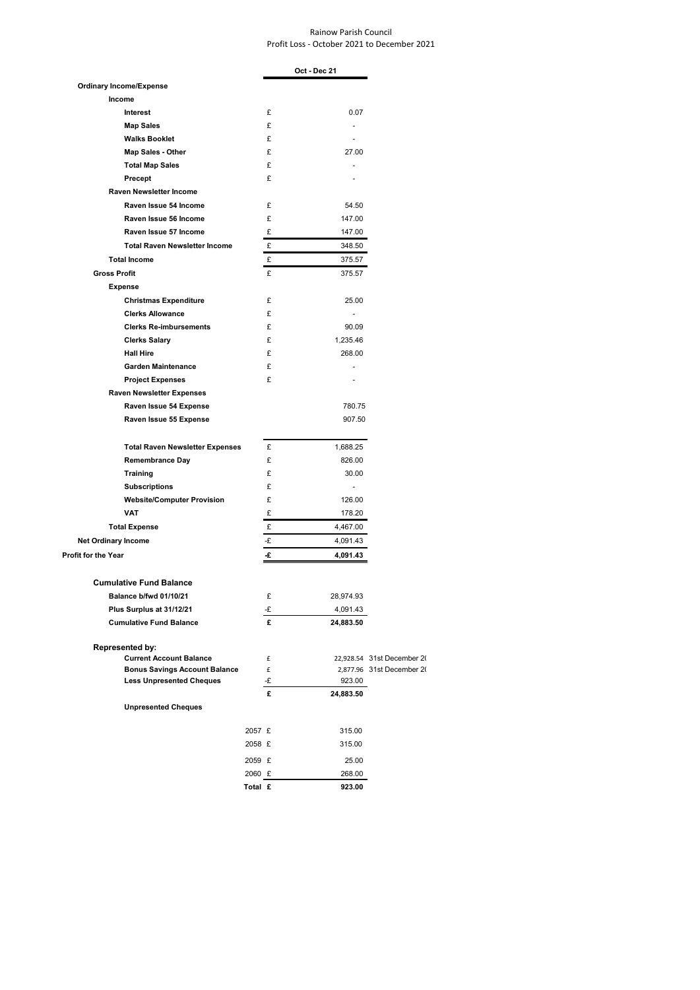## Rainow Parish Council Profit Loss - October 2021 to December 2021

|                                        |         |         | Oct - Dec 21             |                            |
|----------------------------------------|---------|---------|--------------------------|----------------------------|
| <b>Ordinary Income/Expense</b>         |         |         |                          |                            |
| Income                                 |         |         |                          |                            |
| Interest                               |         | £       | 0.07                     |                            |
| <b>Map Sales</b>                       |         | £       | ٠                        |                            |
| <b>Walks Booklet</b>                   |         | £       |                          |                            |
| <b>Map Sales - Other</b>               |         | £       | 27.00                    |                            |
| <b>Total Map Sales</b>                 |         | £       | ٠                        |                            |
| Precept                                |         | £       |                          |                            |
| <b>Raven Newsletter Income</b>         |         |         |                          |                            |
| Raven Issue 54 Income                  |         | £       | 54.50                    |                            |
| Raven Issue 56 Income                  |         | £       | 147.00                   |                            |
| Raven Issue 57 Income                  |         | £       | 147.00                   |                            |
| <b>Total Raven Newsletter Income</b>   |         | £       | 348.50                   |                            |
| <b>Total Income</b>                    |         | £       | 375.57                   |                            |
| <b>Gross Profit</b>                    |         | £       | 375.57                   |                            |
| <b>Expense</b>                         |         |         |                          |                            |
| <b>Christmas Expenditure</b>           |         | £       | 25.00                    |                            |
| <b>Clerks Allowance</b>                |         | £       | $\overline{\phantom{a}}$ |                            |
| <b>Clerks Re-imbursements</b>          |         | £       | 90.09                    |                            |
| <b>Clerks Salary</b>                   |         | £       | 1,235.46                 |                            |
| <b>Hall Hire</b>                       |         | £       | 268.00                   |                            |
| <b>Garden Maintenance</b>              |         | £       |                          |                            |
| <b>Project Expenses</b>                |         | £       |                          |                            |
| <b>Raven Newsletter Expenses</b>       |         |         |                          |                            |
| Raven Issue 54 Expense                 |         |         | 780.75                   |                            |
| Raven Issue 55 Expense                 |         |         | 907.50                   |                            |
| <b>Total Raven Newsletter Expenses</b> |         | £       | 1,688.25                 |                            |
| <b>Remembrance Day</b>                 |         | £       | 826.00                   |                            |
| Training                               |         | £       | 30.00                    |                            |
| <b>Subscriptions</b>                   |         | £       | ٠                        |                            |
| <b>Website/Computer Provision</b>      |         | £       | 126.00                   |                            |
| <b>VAT</b>                             |         | £       | 178.20                   |                            |
| <b>Total Expense</b>                   |         | £       | 4,467.00                 |                            |
| <b>Net Ordinary Income</b>             |         | -£      | 4,091.43                 |                            |
| <b>Profit for the Year</b>             |         | £       | 4,091.43                 |                            |
| <b>Cumulative Fund Balance</b>         |         |         |                          |                            |
| Balance b/fwd 01/10/21                 |         | £       | 28,974.93                |                            |
| Plus Surplus at 31/12/21               |         | -£      | 4,091.43                 |                            |
| <b>Cumulative Fund Balance</b>         |         | £       | 24,883.50                |                            |
| Represented by:                        |         |         |                          |                            |
| <b>Current Account Balance</b>         |         | £       |                          | 22,928.54 31st December 2( |
| <b>Bonus Savings Account Balance</b>   |         | £       |                          | 2,877.96 31st December 20  |
| <b>Less Unpresented Cheques</b>        |         | -£<br>£ | 923.00                   |                            |
| <b>Unpresented Cheques</b>             |         |         | 24,883.50                |                            |
|                                        | 2057 £  |         | 315.00                   |                            |
|                                        | 2058 £  |         | 315.00                   |                            |
|                                        | 2059 £  |         |                          |                            |
|                                        | 2060 £  |         | 25.00<br>268.00          |                            |
|                                        | Total £ |         | 923.00                   |                            |
|                                        |         |         |                          |                            |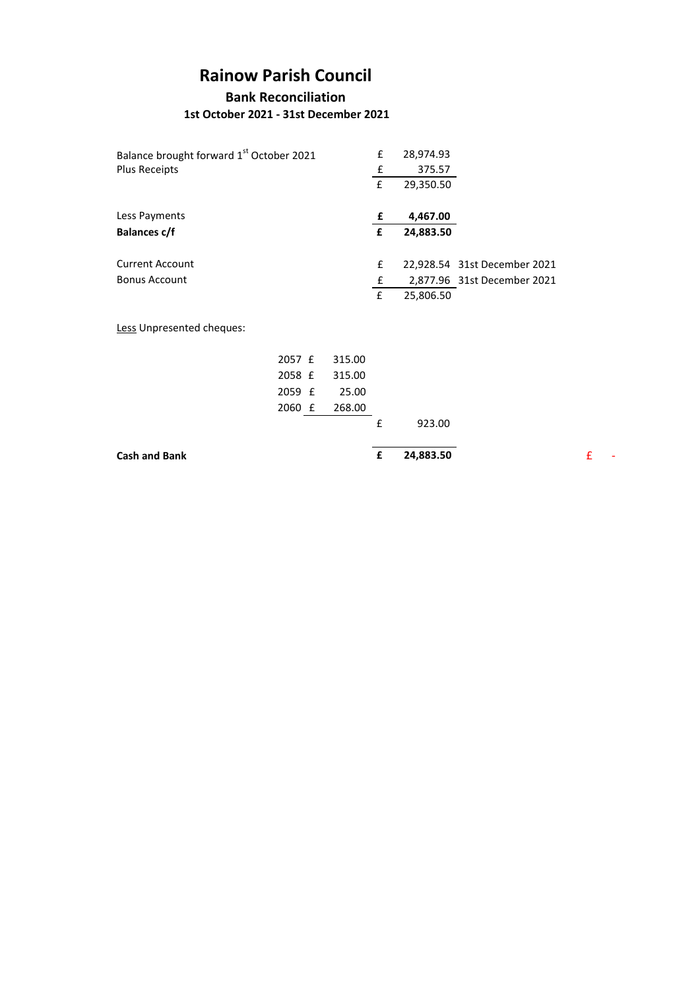## **Rainow Parish Council**

**Bank Reconciliation 1st October 2021 - 31st December 2021**

| Balance brought forward 1 <sup>st</sup> October 2021 |        | £      | 28,974.93 |           |                              |
|------------------------------------------------------|--------|--------|-----------|-----------|------------------------------|
| Plus Receipts                                        |        |        | £         | 375.57    |                              |
|                                                      |        |        | £         | 29,350.50 |                              |
| Less Payments                                        |        |        | £         | 4,467.00  |                              |
| <b>Balances c/f</b>                                  |        |        | £         | 24,883.50 |                              |
| <b>Current Account</b>                               |        |        | £         |           | 22,928.54 31st December 2021 |
| <b>Bonus Account</b>                                 |        |        | £         |           | 2,877.96 31st December 2021  |
|                                                      |        |        | £         | 25,806.50 |                              |
| Less Unpresented cheques:                            |        |        |           |           |                              |
|                                                      | 2057 £ | 315.00 |           |           |                              |
|                                                      | 2058 £ | 315.00 |           |           |                              |
|                                                      | 2059 £ | 25.00  |           |           |                              |
|                                                      | 2060 £ | 268.00 |           |           |                              |
|                                                      |        |        | £         | 923.00    |                              |
|                                                      |        |        |           |           |                              |

**Cash and Bank E** 24,883.50 **£** -